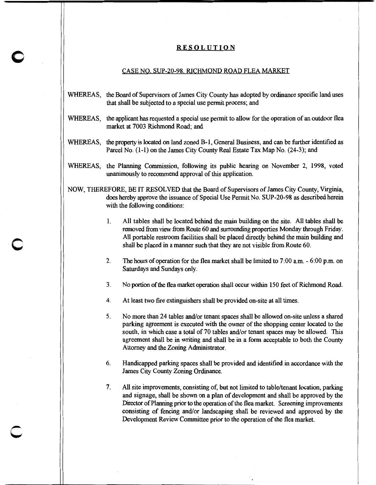## **RESOLUTION**

0

c

## CASE NO. SUP-20-98. RICHMOND ROAD FLEA MARKET

- WHEREAS, the Board of Supervisors of James City County has adopted by ordinance specific land uses that shall be subjected to a special use permit process; and
- WHEREAS, the applicant has requested a special use permit to allow for the operation of an outdoor flea market at 7003 Richmond Road; and
- WHEREAS, the property is located on land zoned B-1, General Business, and can be further identified as Parcel No. (1-1) on the James City County Real Estate Tax Map No. (24-3); and
- WHEREAS, the Planning Commission, following its public hearing on November 2, 1998, voted unanimously to recommend approval of this application.
- NOW, THEREFORE, BE IT RESOLVED that the Board of Supervisors of James City County, Virginia, does hereby approve the issuance of Special Use Permit No. SUP-20-98 as described herein with the following conditions:
	- 1. All tables shall be located behind the main building on the site. All tables shall be removed from view from Route 60 and surrounding properties Monday through Friday. All portable restroom facilities shall be placed directly behind the main building and shall be placed in a manner such that they are not visible from Route 60.
	- 2. The hours of operation for the flea market shall be limited to  $7:00$  a.m.  $-6:00$  p.m. on Saturdays and Sundays only.
	- 3. No portion of the flea market operation shall occur within 150 feet of Richmond Road.
	- 4. At least two fire extinguishers shall be provided on-site at all times.
	- 5. No more than 24 tables and/or tenant spaces shall be allowed on-site unless a shared parking agreement is executed with the owner of the shopping center located to the south, in which case a total of 70 tables and/or tenant spaces may be allowed. This agreement shall be in writing and shall be in a form acceptable to both the County Attorney and the Zoning Administrator.
	- 6. Handicapped parking spaces shall be provided and identified in accordance with the James City County Zoning Ordinance.
	- 7. All site improvements, consisting of, but not limited to table/tenant location, parking and signage, shall be shown on a plan of development and shall be approved by the Director of Planning prior to the operation of the flea market. Screening improvements consisting of fencing and/or landscaping shall be reviewed and approved by the Development Review Committee prior to the operation of the flea market.